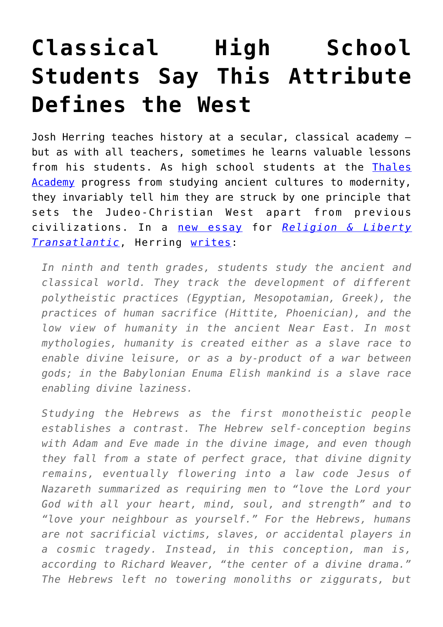## **[Classical High School](https://intellectualtakeout.org/2017/08/classical-high-school-students-say-this-attribute-defines-the-west/) [Students Say This Attribute](https://intellectualtakeout.org/2017/08/classical-high-school-students-say-this-attribute-defines-the-west/) [Defines the West](https://intellectualtakeout.org/2017/08/classical-high-school-students-say-this-attribute-defines-the-west/)**

Josh Herring teaches history at a secular, classical academy – but as with all teachers, sometimes he learns valuable lessons from his students. As high school students at the [Thales](https://www.thalesacademy.org/) [Academy](https://www.thalesacademy.org/) progress from studying ancient cultures to modernity, they invariably tell him they are struck by one principle that sets the Judeo-Christian West apart from previous civilizations. In a [new essay](https://acton.org/publications/transatlantic/2017/08/09/human-dignity-uniquely-defining-characteristic-west) for *[Religion & Liberty](https://acton.org/publications/transatlantic/) [Transatlantic](https://acton.org/publications/transatlantic/)*, Herring [writes](https://acton.org/publications/transatlantic/2017/08/09/human-dignity-uniquely-defining-characteristic-west):

*In ninth and tenth grades, students study the ancient and classical world. They track the development of different polytheistic practices (Egyptian, Mesopotamian, Greek), the practices of human sacrifice (Hittite, Phoenician), and the low view of humanity in the ancient Near East. In most mythologies, humanity is created either as a slave race to enable divine leisure, or as a by-product of a war between gods; in the Babylonian Enuma Elish mankind is a slave race enabling divine laziness.*

*Studying the Hebrews as the first monotheistic people establishes a contrast. The Hebrew self-conception begins with Adam and Eve made in the divine image, and even though they fall from a state of perfect grace, that divine dignity remains, eventually flowering into a law code Jesus of Nazareth summarized as requiring men to "love the Lord your God with all your heart, mind, soul, and strength" and to "love your neighbour as yourself." For the Hebrews, humans are not sacrificial victims, slaves, or accidental players in a cosmic tragedy. Instead, in this conception, man is, according to Richard Weaver, "the center of a divine drama." The Hebrews left no towering monoliths or ziggurats, but*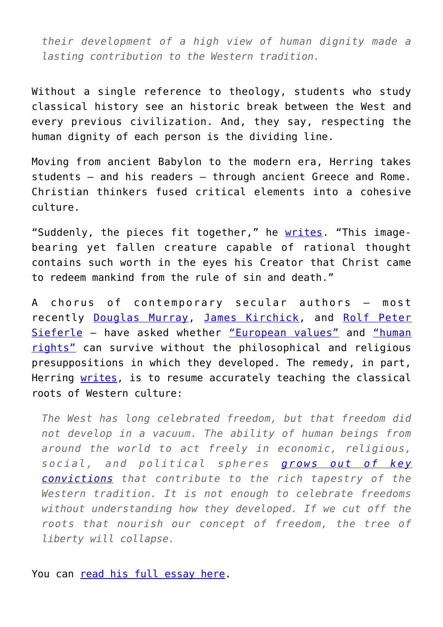*their development of a high view of human dignity made a lasting contribution to the Western tradition.*

Without a single reference to theology, students who study classical history see an historic break between the West and every previous civilization. And, they say, respecting the human dignity of each person is the dividing line.

Moving from ancient Babylon to the modern era, Herring takes students – and his readers – through ancient Greece and Rome. Christian thinkers fused critical elements into a cohesive culture.

"Suddenly, the pieces fit together," he [writes.](https://acton.org/publications/transatlantic/2017/08/09/human-dignity-uniquely-defining-characteristic-west) "This imagebearing yet fallen creature capable of rational thought contains such worth in the eyes his Creator that Christ came to redeem mankind from the rule of sin and death."

A chorus of contemporary secular authors – most recently [Douglas Murray,](http://blog.acton.org/archives/94101-can-european-values-prevent-european-suicide.html) [James Kirchick](http://blog.acton.org/archives/96635-can-christ-and-burke-solve-the-european-intifada.html), and [Rolf Peter](https://acton.org/publications/transatlantic/2017/07/14/spiritual-cause-and-cure-european-intifada) [Sieferle](https://acton.org/publications/transatlantic/2017/07/14/spiritual-cause-and-cure-european-intifada) – have asked whether ["European values"](http://blog.acton.org/archives/90175-what-are-transatlantic-values.html) and ["human](http://blog.acton.org/archives/92215-ignoring-faith-and-human-dignity-leaves-europe-adrift-joint-catholic-orthodox-statement.html) [rights"](http://blog.acton.org/archives/92215-ignoring-faith-and-human-dignity-leaves-europe-adrift-joint-catholic-orthodox-statement.html) can survive without the philosophical and religious presuppositions in which they developed. The remedy, in part, Herring [writes,](https://acton.org/publications/transatlantic/2017/08/09/human-dignity-uniquely-defining-characteristic-west) is to resume accurately teaching the classical roots of Western culture:

*The West has long celebrated freedom, but that freedom did not develop in a vacuum. The ability of human beings from around the world to act freely in economic, religious, social, and political spheres [grows out of key](http://blog.acton.org/archives/92215-ignoring-faith-and-human-dignity-leaves-europe-adrift-joint-catholic-orthodox-statement.html) [convictions](http://blog.acton.org/archives/92215-ignoring-faith-and-human-dignity-leaves-europe-adrift-joint-catholic-orthodox-statement.html) that contribute to the rich tapestry of the Western tradition. It is not enough to celebrate freedoms without understanding how they developed. If we cut off the roots that nourish our concept of freedom, the tree of liberty will collapse.*

You can [read his full essay here.](https://acton.org/publications/transatlantic/2017/08/09/human-dignity-uniquely-defining-characteristic-west)